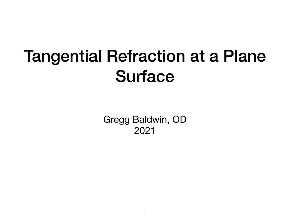# Tangential Refraction at a Plane Surface

Gregg Baldwin, OD 2021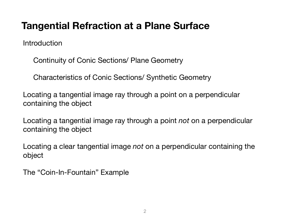#### **Tangential Refraction at a Plane Surface**

**Introduction** 

Continuity of Conic Sections/ Plane Geometry

Characteristics of Conic Sections/ Synthetic Geometry

Locating a tangential image ray through a point on a perpendicular containing the object

Locating a tangential image ray through a point *not* on a perpendicular containing the object

Locating a clear tangential image *not* on a perpendicular containing the object

The "Coin-In-Fountain" Example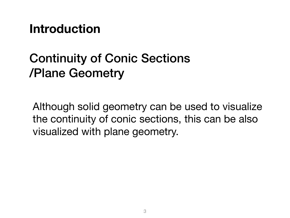**Introduction** 

# Continuity of Conic Sections /Plane Geometry

Although solid geometry can be used to visualize the continuity of conic sections, this can be also visualized with plane geometry.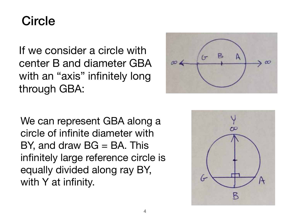## **Circle**

If we consider a circle with center B and diameter GBA with an "axis" infinitely long through GBA:



We can represent GBA along a circle of infinite diameter with  $BY$ , and draw  $BG = BA$ . This infinitely large reference circle is equally divided along ray BY, with Y at infinity.

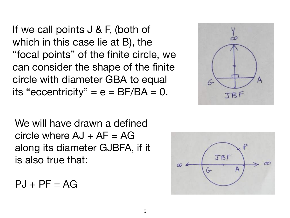If we call points J & F, (both of which in this case lie at B), the "focal points" of the finite circle, we can consider the shape of the finite circle with diameter GBA to equal its "eccentricity" =  $e = BF/BA = 0$ .

We will have drawn a defined circle where  $AJ + AF = AG$ along its diameter GJBFA, if it is also true that:

$$
PJ + PF = AG
$$



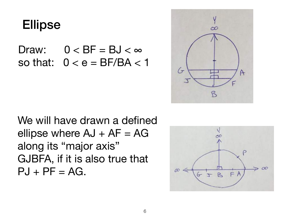## Ellipse

Draw:  $0 < BF = BJ < \infty$ so that:  $0 < e = BF/BA < 1$ 



We will have drawn a defined ellipse where  $AJ + AF = AG$ along its "major axis" GJBFA, if it is also true that  $PJ + PF = AG$ .

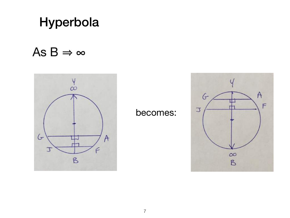## Hyperbola

### As  $B \Rightarrow \infty$



#### becomes:

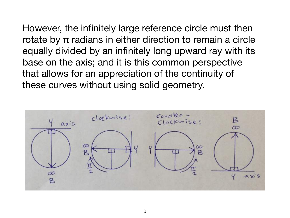However, the infinitely large reference circle must then rotate by π radians in either direction to remain a circle equally divided by an infinitely long upward ray with its base on the axis; and it is this common perspective that allows for an appreciation of the continuity of these curves without using solid geometry.

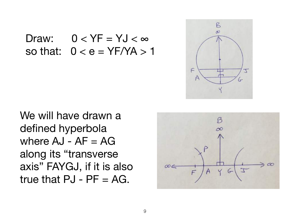Draw:  $0 < YF = YJ < \infty$ so that:  $0 < e = YF/YA > 1$ 



We will have drawn a defined hyperbola where  $AJ - AF = AG$ along its "transverse axis" FAYGJ, if it is also true that  $PJ$  -  $PF = AG$ .

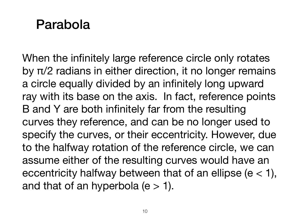# Parabola

When the infinitely large reference circle only rotates by π/2 radians in either direction, it no longer remains a circle equally divided by an infinitely long upward ray with its base on the axis. In fact, reference points B and Y are both infinitely far from the resulting curves they reference, and can be no longer used to specify the curves, or their eccentricity. However, due to the halfway rotation of the reference circle, we can assume either of the resulting curves would have an eccentricity halfway between that of an ellipse ( $e < 1$ ), and that of an hyperbola  $(e > 1)$ .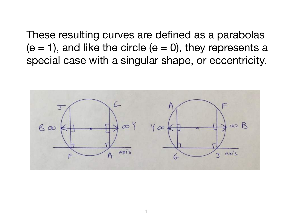These resulting curves are defined as a parabolas  $(e = 1)$ , and like the circle  $(e = 0)$ , they represents a special case with a singular shape, or eccentricity.

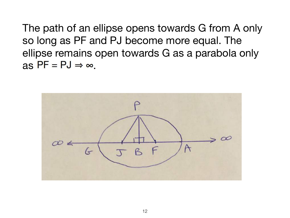The path of an ellipse opens towards G from A only so long as PF and PJ become more equal. The ellipse remains open towards G as a parabola only as  $PF = PJ \Rightarrow \infty$ .

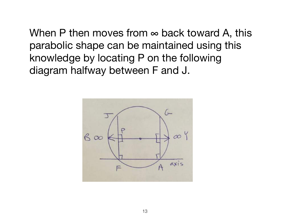When P then moves from  $\infty$  back toward A, this parabolic shape can be maintained using this knowledge by locating P on the following diagram halfway between F and J.

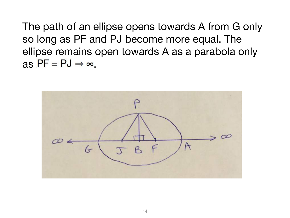The path of an ellipse opens towards A from G only so long as PF and PJ become more equal. The ellipse remains open towards A as a parabola only as  $PF = PJ \Rightarrow \infty$ .

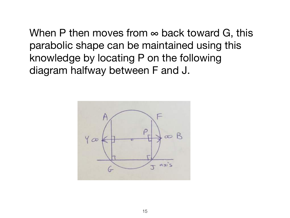When P then moves from  $\infty$  back toward G, this parabolic shape can be maintained using this knowledge by locating P on the following diagram halfway between F and J.

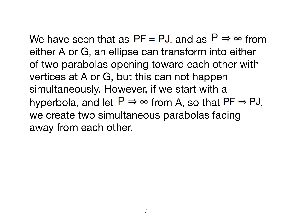We have seen that as  $PF = PJ$ , and as  $P \Rightarrow \infty$  from either A or G, an ellipse can transform into either of two parabolas opening toward each other with vertices at A or G, but this can not happen simultaneously. However, if we start with a hyperbola, and let  $P \Rightarrow \infty$  from A, so that  $PF \Rightarrow PJ$ . we create two simultaneous parabolas facing away from each other.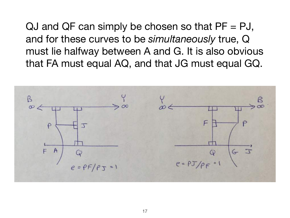QJ and QF can simply be chosen so that  $PF = PJ$ , and for these curves to be *simultaneously* true, Q must lie halfway between A and G. It is also obvious that FA must equal AQ, and that JG must equal GQ.

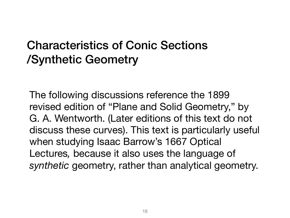## Characteristics of Conic Sections /Synthetic Geometry

The following discussions reference the 1899 revised edition of "Plane and Solid Geometry," by G. A. Wentworth. (Later editions of this text do not discuss these curves). This text is particularly useful when studying Isaac Barrow's 1667 Optical Lectures*,* because it also uses the language of *synthetic* geometry, rather than analytical geometry.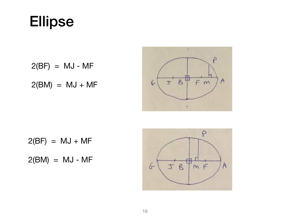# Ellipse

 $2(BF) = MJ - MF$  $35$  $F$  m  $6$  $2(BM) = MJ + MF$ ×

 $2(BF) = MJ + MF$ 

 $2(BM) = MJ - MF$ 



₽

 $\bigwedge$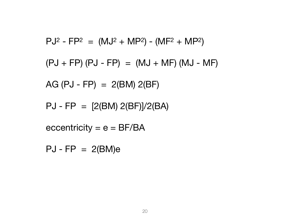$$
PJ^{2} - FP^{2} = (MJ^{2} + MP^{2}) - (MF^{2} + MP^{2})
$$
  
(
$$
(PJ + FP) (PJ - FP) = (MJ + MF) (MJ - MF)
$$
  
AG (
$$
(PJ - FP) = 2(BM) 2(BF)
$$
  
PU - FP = 
$$
[2(BM) 2(BF)]/2(BA)
$$
  
eccentricity = e = BF/BA  
PU - FP = 
$$
2(BM)e
$$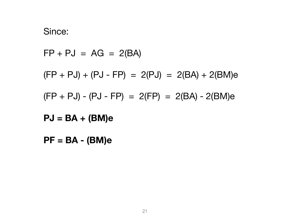#### Since:

 $FP + PJ = AG = 2(BA)$ 

 $(FP + PJ) + (PJ - FP) = 2(PJ) = 2(BA) + 2(BM)e$ 

 $(FP + PJ) - (PJ - FP) = 2(FP) = 2(BA) - 2(BM)e$ 

**PJ = BA + (BM)e** 

**PF = BA - (BM)e**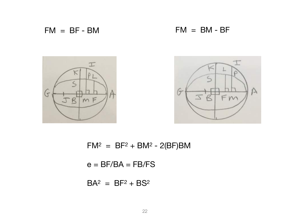$FM = BF - BM$   $FM = BM - BF$ 





 $FM^2 = BF^2 + BM^2 - 2(BF)BM$ 

 $e = BF/BA = FB/FS$ 

 $BA^2 = BF^2 + BS^2$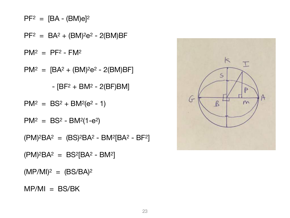$MP/MI = BS/BK$ 

 $(MP/MI)^2 = (BS/BA)^2$ 

 $(PM)^{2}BA^{2} = BS^{2}[BA^{2} - BM^{2}]$ 

 $(PM)^{2}BA^{2} = (BS)^{2}BA^{2} - BM^{2}[BA^{2} - BF^{2}]$ 

 $PM^2 = BS^2 - BM^2(1-e^2)$ 

$$
PM^2 = BS^2 + BM^2(e^2 - 1)
$$

 $-$  [BF<sup>2</sup> + BM<sup>2</sup> - 2(BF)BM]

 $PM^2 = [BA^2 + (BM)^2e^2 - 2(BM)BF]$ 

 $PM^2 = PF^2 - FM^2$ 

 $PF^2 = BA^2 + (BM)^2e^2 - 2(BM)BF$ 

 $PF^2 = [BA - (BM)e]^2$ 

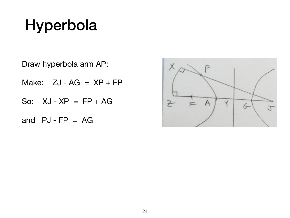# Hyperbola

Draw hyperbola arm AP:

Make:  $ZJ - AG = XP + FP$ 

So:  $XJ - XP = FP + AG$ 

and  $PJ$ - $FP = AG$ 

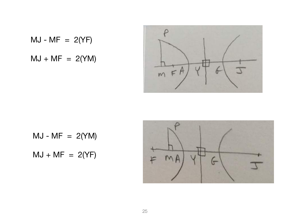$$
MJ - MF = 2(YF)
$$
  

$$
MJ + MF = 2(YM)
$$



 $MJ - MF = 2(YM)$  $MJ + MF = 2(YF)$ 

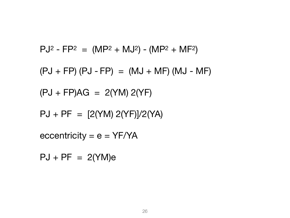$$
PJ^{2} - FP^{2} = (MP^{2} + MJ^{2}) - (MP^{2} + MF^{2})
$$
  
(
$$
(PJ + FP) (PJ - FP) = (MJ + MF) (MJ - MF)
$$
  
(
$$
(PJ + FP)AG = 2(YM) 2(YF)
$$
  

$$
PJ + PF = [2(YM) 2(YF)]/2(YA)
$$
  
eccentricity = e = YF/YA

 $PJ + PF = 2(YM)e$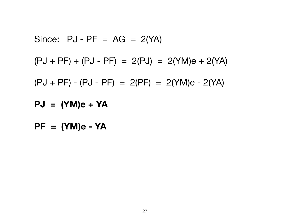Since: 
$$
PJ - PF = AG = 2(YA)
$$
  
\n $(PJ + PF) + (PJ - PF) = 2(PJ) = 2(YM)e + 2(YA)$   
\n $(PJ + PF) - (PJ - PF) = 2(PF) = 2(YM)e - 2(YA)$   
\n $PJ = (YM)e + YA$ 

**PF = (YM)e - YA**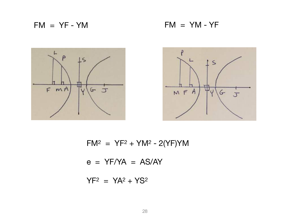$FM = YF - YM$  FM = YM - YF





 $FM^2 = YF^2 + YM^2 - 2(YF)YM$ 

 $e = YF/YA = AS/AY$ 

 $YF^2 = YA^2 + YS^2$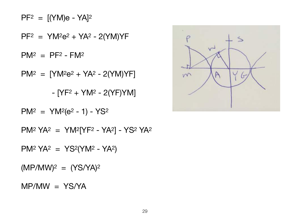MP/MW = YS/YA

 $(MP/MW)^2 = (YS/YA)^2$ 

 $PM^2 YA^2 = YS^2 (YM^2 - YA^2)$ 

PM2 YA2 = YM2[YF2 - YA2] - YS2 YA2

 $PM^2 = YM^2(e^2 - 1) - YS^2$ 

 $[YF^2 + YM^2 - 2(YF)YM]$ 

 $PM^2 = [YM^2e^2 + YA^2 - 2(YM)YF]$ 

 $PM^2 = PF^2 - FM^2$ 

 $PF^2 = YM^2e^2 + YA^2 - 2(YM)YF$ 

 $PF^2 = [(YM)e - YA]^2$ 

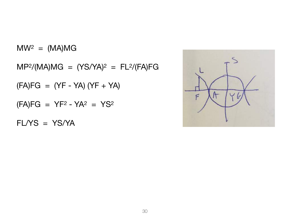FL/YS = YS/YA

 $(FA)FG = YF^2 - YA^2 = YS^2$ 

 $(FA)FG = (YF - YA) (YF + YA)$ 

 $MP<sup>2</sup>/(MA)MG = (YS/YA)<sup>2</sup> = FL<sup>2</sup>/(FA)FG$ 

 $MW^2 = (MA)MG$ 

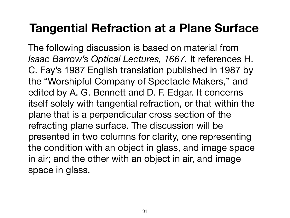## **Tangential Refraction at a Plane Surface**

The following discussion is based on material from *Isaac Barrow's Optical Lectures, 1667.* It references H. C. Fay's 1987 English translation published in 1987 by the "Worshipful Company of Spectacle Makers," and edited by A. G. Bennett and D. F. Edgar. It concerns itself solely with tangential refraction, or that within the plane that is a perpendicular cross section of the refracting plane surface. The discussion will be presented in two columns for clarity, one representing the condition with an object in glass, and image space in air; and the other with an object in air, and image space in glass.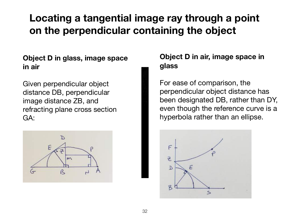## **Locating a tangential image ray through a point on the perpendicular containing the object**

#### **Object D in glass, image space in air**

Given perpendicular object distance DB, perpendicular image distance ZB, and refracting plane cross section GA:



#### **Object D in air, image space in glass**

For ease of comparison, the perpendicular object distance has been designated DB, rather than DY, even though the reference curve is a hyperbola rather than an ellipse.

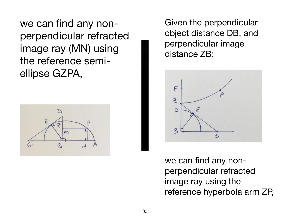we can find any nonperpendicular refracted image ray (MN) using the reference semiellipse GZPA,



Given the perpendicular object distance DB, and perpendicular image distance ZB:



we can find any nonperpendicular refracted image ray using the reference hyperbola arm ZP,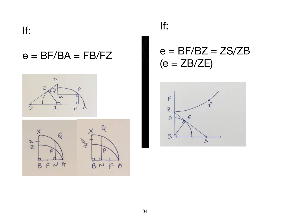If:

#### $e = BF/BA = FB/FZ$





#### If:

#### $e = BF/BZ = ZS/ZB$  $(e = ZB/ZE)$

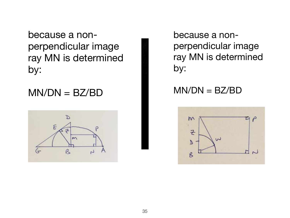because a nonperpendicular image ray MN is determined by:

#### $MN/DN = BZ/BD$



because a nonperpendicular image ray MN is determined by:

#### $MN/DN = BZ/BD$

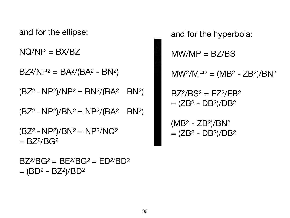$BZ^{2}/BG^{2} = BE^{2}/BG^{2} = ED^{2}/BD^{2}$  $=$  (BD<sup>2</sup> - BZ<sup>2</sup>)/BD<sup>2</sup>

 $(BZ<sup>2</sup> - NP<sup>2</sup>)/BN<sup>2</sup> = NP<sup>2</sup>/NQ<sup>2</sup>$  $= BZ^2/BG^2$ 

 $(BZ<sup>2</sup> - NP<sup>2</sup>)/BN<sup>2</sup> = NP<sup>2</sup>/(BA<sup>2</sup> - BN<sup>2</sup>)$ 

 $(BZ<sup>2</sup> - NP<sup>2</sup>)/NP<sup>2</sup> = BN<sup>2</sup>/(BA<sup>2</sup> - BN<sup>2</sup>)$ 

 $BZ^2/NP^2 = BA^2/(BA^2 - BN^2)$ 

 $NQ/NP = BX/BZ$ 

and for the ellipse:

 $BZ^2/BS^2 = EZ^2/EB^2$  $= (ZB<sup>2</sup> - DB<sup>2</sup>)/DB<sup>2</sup>$  $(MB<sup>2</sup> - ZB<sup>2</sup>)/BN<sup>2</sup>$ 

 $= (ZB<sup>2</sup> - DB<sup>2</sup>)/DB<sup>2</sup>$ 

and for the hyperbola:  $MW/MP = BZ/BS$  $MW^2/MP^2 = (MB^2 - ZB^2)/BN^2$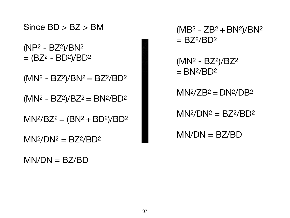Since BD > BZ > BM

 $(NP<sup>2</sup> - BZ<sup>2</sup>)/BN<sup>2</sup>$  $= (BZ<sup>2</sup> - BD<sup>2</sup>)/BD<sup>2</sup>$ 

 $(MN<sup>2</sup> - BZ<sup>2</sup>)/BN<sup>2</sup> = BZ<sup>2</sup>/BD<sup>2</sup>$ 

 $(MN<sup>2</sup> - BZ<sup>2</sup>)/BZ<sup>2</sup> = BN<sup>2</sup>/BD<sup>2</sup>$ 

 $MN^{2}/BZ^{2} = (BN^{2} + BD^{2})/BD^{2}$ 

 $MN^2/DN^2 = BZ^2/BD^2$ 

 $MN/DN = BZ/BD$ 

 $(MB<sup>2</sup> - ZB<sup>2</sup> + BN<sup>2</sup>)/BN<sup>2</sup>$  $= BZ^2/BD^2$ 

 $(MN<sup>2</sup> - BZ<sup>2</sup>)/BZ<sup>2</sup>$  $=$  BN<sup>2</sup>/BD<sup>2</sup>

 $MN^2/ZB^2 = DN^2/DB^2$ 

 $MN^2/DN^2 = BZ^2/BD^2$ 

 $MN/DN = BZ/BD$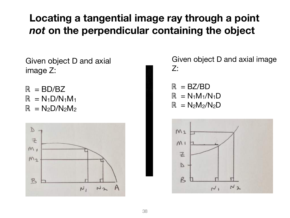### **Locating a tangential image ray through a point**  *not* **on the perpendicular containing the object**

Given object D and axial image Z:

 $R = BD/BC$  $\mathbb{R} = N_1 D/N_1M_1$  $\mathbb{R} = N_2D/N_2M_2$ 



Given object D and axial image Z:

 $R = BZ/BD$  $\mathbb{R} = N_1M_1/N_1D$  $\mathbb{R} = N_2M_2/N_2D$ 

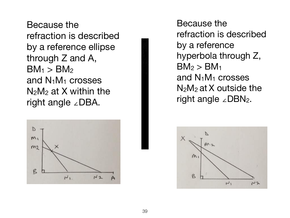Because the refraction is described by a reference ellipse through Z and A,  $BM_1 > BM_2$ and N1M1 crosses  $N_2M_2$  at X within the right angle ∠DBA.



Because the refraction is described by a reference hyperbola through Z,  $BM<sub>2</sub> > BM<sub>1</sub>$ and  $N_1M_1$  crosses  $N_2M_2$  at X outside the right angle ∠DBN2.

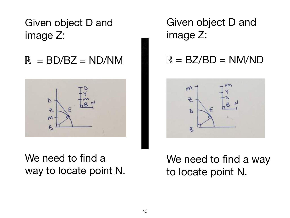Given object D and image Z:

 $\mathbb{R}$  = BD/BZ = ND/NM



We need to find a way to locate point N. Given object D and image Z:

#### $R = BZ/BD = N$ M/ND



We need to find a way to locate point N.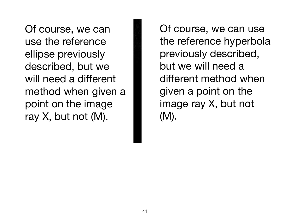Of course, we can use the reference ellipse previously described, but we will need a different method when given a point on the image ray  $X$ , but not  $(M)$ .

Of course, we can use the reference hyperbola previously described, but we will need a different method when given a point on the image ray X, but not (M).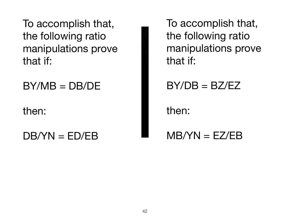To accomplish that, the following ratio manipulations prove that if:

 $BY/MB = DB/DE$ 

then:

 $DB/YN = ED/EB$ 

To accomplish that, the following ratio manipulations prove that if:

 $BY/DB = BZ/EZ$ 

then:

 $MB/YN = EZ/EB$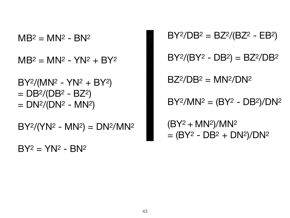$BY^2 = YN^2 - BN^2$ 

 $BY^2/(YN^2 - MN^2) = DN^2/MN^2$ 

 $BY^2/(MN^2 - YN^2 + BY^2)$  $=$  DB<sup>2</sup>/(DB<sup>2</sup> - BZ<sup>2</sup>)  $= DN^2/ (DN^2 - MN^2)$ 

 $MB^2 = MN^2 - YN^2 + BY^2$ 

 $MB<sup>2</sup> = MN<sup>2</sup> - BN<sup>2</sup>$ 

 $(BY^2 + MN^2)/MN^2$  $= (BY<sup>2</sup> - DB<sup>2</sup> + DN<sup>2</sup>)/DN<sup>2</sup>$ 

 $BY^2/MN^2 = (BY^2 - DB^2)/DN^2$ 

 $BZ^2/DB^2 = MN^2/DN^2$ 

 $BY^2/(BY^2 - DB^2) = BZ^2/DB^2$ 

 $BY^2/DB^2 = BZ^2/(BZ^2 - EB^2)$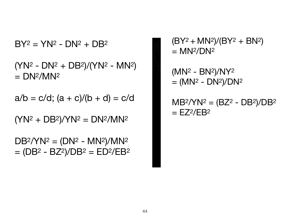$DB^2/YN^2 = (DN^2 - MN^2)/MN^2$  $= (DB<sup>2</sup> - BZ<sup>2</sup>)/DB<sup>2</sup> = ED<sup>2</sup>/EB<sup>2</sup>$ 

 $(YN^2 + DB^2)/YN^2 = DN^2/MN^2$ 

 $a/b = c/d$ ;  $(a + c)/(b + d) = c/d$ 

 $(NN<sup>2</sup> - DN<sup>2</sup> + DB<sup>2</sup>)/(YN<sup>2</sup> - MN<sup>2</sup>)$  $= DN<sup>2</sup>/MN<sup>2</sup>$ 

 $BY^2 = YN^2 - DN^2 + DB^2$ 

 $(BY^2 + MN^2)/(BY^2 + BN^2)$  $=$  MN<sup>2</sup>/DN<sup>2</sup>

(MN2 - BN2)/NY2  $=$  (MN<sup>2</sup> - DN<sup>2</sup>)/DN<sup>2</sup>

 $MB<sup>2</sup>/YN<sup>2</sup> = (BZ<sup>2</sup> - DB<sup>2</sup>)/DB<sup>2</sup>$  $=$  EZ<sup>2</sup>/EB<sup>2</sup>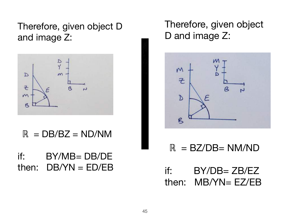Therefore, given object D and image Z:



 $R = DB/ BZ = ND/NM$ 

if: BY/MB= DB/DE then:  $DB/YN = ED/EB$  Therefore, given object D and image Z:



 $R = BZ/DB = NM/ND$ 

if:  $BY/DB = ZB/EZ$ then: MB/YN= EZ/EB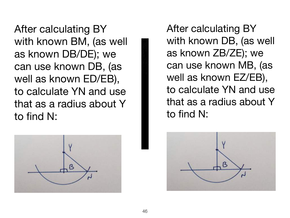After calculating BY with known BM, (as well as known DB/DE); we can use known DB, (as well as known ED/EB), to calculate YN and use that as a radius about Y to find N:



After calculating BY with known DB, (as well as known ZB/ZE); we can use known MB, (as well as known EZ/EB), to calculate YN and use that as a radius about Y to find N:

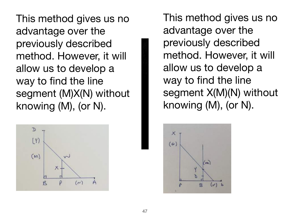This method gives us no advantage over the previously described method. However, it will allow us to develop a way to find the line segment (M)X(N) without knowing (M), (or N).



This method gives us no advantage over the previously described method. However, it will allow us to develop a way to find the line segment X(M)(N) without knowing (M), (or N).

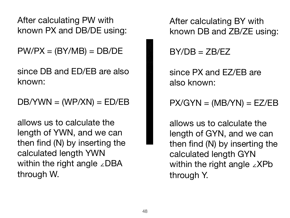After calculating PW with known PX and DB/DE using:

 $PW/PX = (BY/MB) = DB/DE$ 

since DB and ED/EB are also known:

 $DB/YWN = (WP/XN) = ED/EB$ 

allows us to calculate the length of YWN, and we can then find (N) by inserting the calculated length YWN within the right angle ∠DBA through W.

After calculating BY with known DB and ZB/ZE using:

 $BY/DB = ZB/EZ$ 

since PX and EZ/EB are also known:

 $PX/GYN = (MB/YN) = EZ/EB$ 

allows us to calculate the length of GYN, and we can then find (N) by inserting the calculated length GYN within the right angle ∠XPb through Y.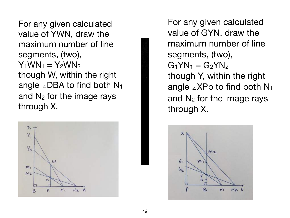For any given calculated value of YWN, draw the maximum number of line segments, (two),  $Y_1WW_1 = Y_2WW_2$ though W, within the right angle ∠DBA to find both  $N_1$ and  $N_2$  for the image rays through X.



For any given calculated value of GYN, draw the maximum number of line segments, (two),  $G_1YN_1 = G_2YN_2$ though Y, within the right angle ∠XPb to find both  $N_1$ and  $N_2$  for the image rays through X.

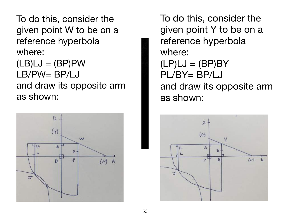To do this, consider the given point W to be on a reference hyperbola where:

 $(LB)LJ = (BP)PW$ LB/PW= BP/LJ and draw its opposite arm as shown:



To do this, consider the given point Y to be on a reference hyperbola where:  $(LP)LJ = (BP)BY$ PL/BY= BP/LJ and draw its opposite arm as shown:

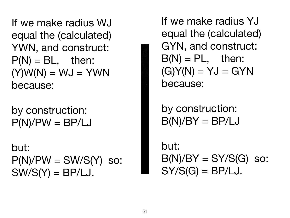If we make radius WJ equal the (calculated) YWN, and construct:  $P(N) = BL$ , then:  $(Y)W(N) = WJ = YWN$ because:

by construction:  $P(N)/PW = BP/LJ$ 

but:  $P(N)/PW = SW/S(Y)$  so:  $SW/S(Y) = BP/LJ$ .

If we make radius YJ equal the (calculated) GYN, and construct:  $B(N) = PL$ , then:  $(G)Y(N) = YJ = GYN$ because:

by construction:  $B(N)/BY = BP/LJ$ 

but:  $B(N)/BY = SY/S(G)$  so:  $SY/S(G) = BP/LJ$ .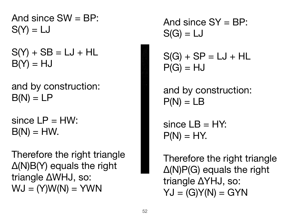And since  $SW = BP$ :  $S(Y) = LJ$ 

 $S(Y) + SB = LJ + HL$  $B(Y) = HJ$ 

and by construction:  $B(N) = LP$ 

since  $LP = HW$ :  $B(N) = HW.$ 

Therefore the right triangle Δ(N)B(Y) equals the right triangle ΔWHJ, so:  $WJ = (Y)W(N) = YWN$ 

And since  $SY = BP$ :  $S(G) = LJ$ 

 $S(G) + SP = LJ + HL$  $P(G) = HJ$ 

and by construction:  $P(N) = LB$ 

since  $LB = HY$ :  $P(N) = HY$ .

Therefore the right triangle Δ(N)P(G) equals the right triangle ΔYHJ, so:  $YJ = (G)Y(N) = GYN$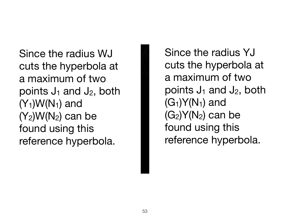Since the radius WJ cuts the hyperbola at a maximum of two points  $J_1$  and  $J_2$ , both  $(Y_1)W(N_1)$  and  $(Y_2)W(N_2)$  can be found using this reference hyperbola.

Since the radius YJ cuts the hyperbola at a maximum of two points  $J_1$  and  $J_2$ , both  $(G_1)Y(N_1)$  and  $(G_2)Y(N_2)$  can be found using this reference hyperbola.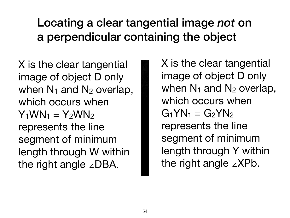## Locating a clear tangential image *not* on a perpendicular containing the object

X is the clear tangential image of object D only when  $N_1$  and  $N_2$  overlap, which occurs when  $Y_1WW_1 = Y_2WW_2$ represents the line segment of minimum length through W within the right angle ∠DBA.

X is the clear tangential image of object D only when  $N_1$  and  $N_2$  overlap, which occurs when  $G_1YN_1 = G_2YN_2$ represents the line segment of minimum length through Y within the right angle ∠XPb.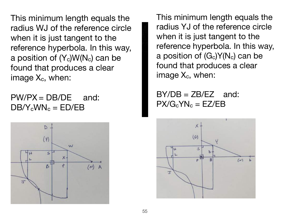This minimum length equals the radius WJ of the reference circle when it is just tangent to the reference hyperbola. In this way, a position of  $(Y_c)W(N_c)$  can be found that produces a clear image  $X_c$ , when:

 $PW/PX = DB/DE$  and:  $DB/Y_c$ WN<sub>c</sub> = ED/EB



This minimum length equals the radius YJ of the reference circle when it is just tangent to the reference hyperbola. In this way, a position of  $(G_c)Y(N_c)$  can be found that produces a clear image  $X_c$ , when:

 $BY/DB = ZB/EZ$  and:  $PX/G_cYN_c = EZ/EB$ 

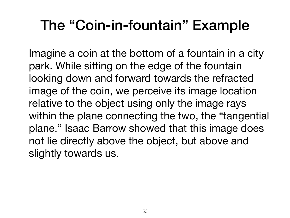# The "Coin-in-fountain" Example

Imagine a coin at the bottom of a fountain in a city park. While sitting on the edge of the fountain looking down and forward towards the refracted image of the coin, we perceive its image location relative to the object using only the image rays within the plane connecting the two, the "tangential plane." Isaac Barrow showed that this image does not lie directly above the object, but above and slightly towards us.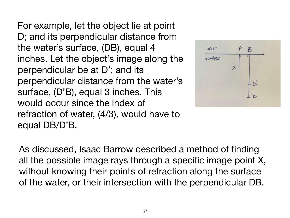For example, let the object lie at point D; and its perpendicular distance from the water's surface, (DB), equal 4 inches. Let the object's image along the perpendicular be at D'; and its perpendicular distance from the water's surface, (D'B), equal 3 inches. This would occur since the index of refraction of water, (4/3), would have to equal DB/D'B.



As discussed, Isaac Barrow described a method of finding all the possible image rays through a specific image point X, without knowing their points of refraction along the surface of the water, or their intersection with the perpendicular DB.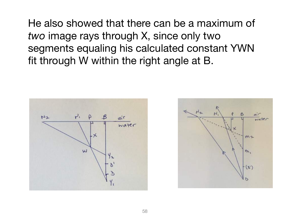He also showed that there can be a maximum of *two* image rays through X, since only two segments equaling his calculated constant YWN fit through W within the right angle at B.



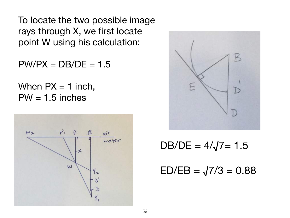To locate the two possible image rays through X, we first locate point W using his calculation:

 $PW/PX = DB/DE = 1.5$ 

When  $PX = 1$  inch,  $PW = 1.5$  inches





 $DB/DE = 4/\sqrt{7} = 1.5$ 

 $ED/EB = \sqrt{7/3} = 0.88$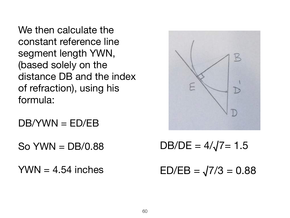We then calculate the constant reference line segment length YWN, (based solely on the distance DB and the index of refraction), using his formula:

DB/YWN = ED/EB

 $SO$  YWN = DB/0.88

 $YWN = 4.54$  inches



 $DB/DE = 4/\sqrt{7} = 1.5$ 

 $ED/EB = \sqrt{7/3} = 0.88$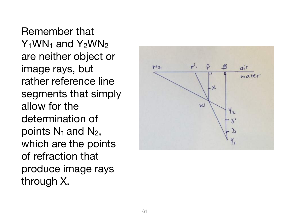Remember that  $Y_1$ WN<sub>1</sub> and  $Y_2$ WN<sub>2</sub> are neither object or image rays, but rather reference line segments that simply allow for the determination of points  $N_1$  and  $N_2$ , which are the points of refraction that produce image rays through X.

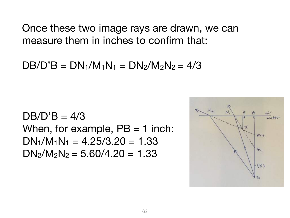Once these two image rays are drawn, we can measure them in inches to confirm that:

 $DB/D'B = DN_1/M_1N_1 = DN_2/M_2N_2 = 4/3$ 

 $DB/D'B = 4/3$ When, for example,  $PB = 1$  inch:  $DN_1/M_1N_1 = 4.25/3.20 = 1.33$  $DN_2/N_2N_2 = 5.60/4.20 = 1.33$ 

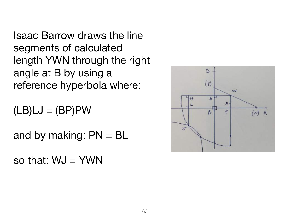Isaac Barrow draws the line segments of calculated length YWN through the right angle at B by using a reference hyperbola where:

 $(LB)LJ = (BP)PW$ 

and by making:  $PN = BL$ 

so that:  $WJ = YWN$